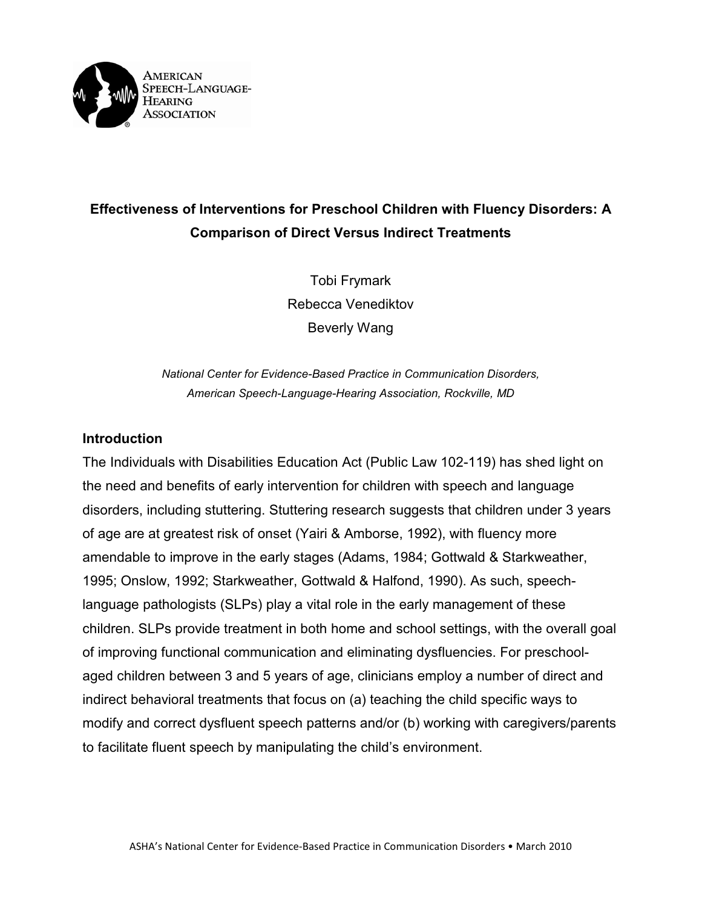

# **Effectiveness of Interventions for Preschool Children with Fluency Disorders: A Comparison of Direct Versus Indirect Treatments**

Tobi Frymark Rebecca Venediktov Beverly Wang

*National Center for Evidence-Based Practice in Communication Disorders, American Speech-Language-Hearing Association, Rockville, MD*

### **Introduction**

The Individuals with Disabilities Education Act (Public Law 102-119) has shed light on the need and benefits of early intervention for children with speech and language disorders, including stuttering. Stuttering research suggests that children under 3 years of age are at greatest risk of onset (Yairi & Amborse, 1992), with fluency more amendable to improve in the early stages (Adams, 1984; Gottwald & Starkweather, 1995; Onslow, 1992; Starkweather, Gottwald & Halfond, 1990). As such, speechlanguage pathologists (SLPs) play a vital role in the early management of these children. SLPs provide treatment in both home and school settings, with the overall goal of improving functional communication and eliminating dysfluencies. For preschoolaged children between 3 and 5 years of age, clinicians employ a number of direct and indirect behavioral treatments that focus on (a) teaching the child specific ways to modify and correct dysfluent speech patterns and/or (b) working with caregivers/parents to facilitate fluent speech by manipulating the child's environment.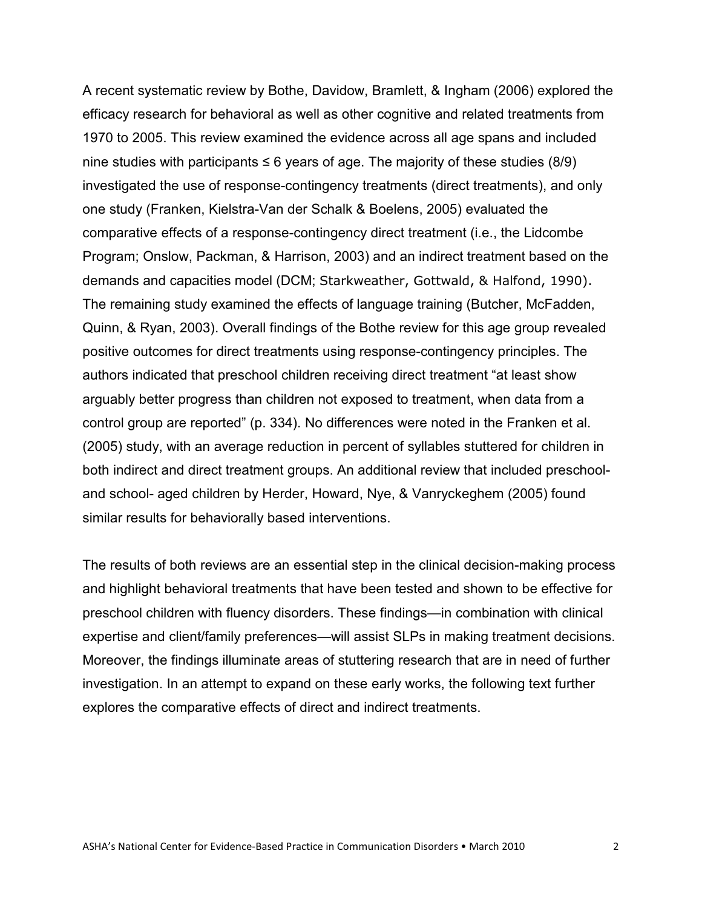A recent systematic review by Bothe, Davidow, Bramlett, & Ingham (2006) explored the efficacy research for behavioral as well as other cognitive and related treatments from 1970 to 2005. This review examined the evidence across all age spans and included nine studies with participants  $\leq 6$  years of age. The majority of these studies (8/9) investigated the use of response-contingency treatments (direct treatments), and only one study (Franken, Kielstra-Van der Schalk & Boelens, 2005) evaluated the comparative effects of a response-contingency direct treatment (i.e., the Lidcombe Program; Onslow, Packman, & Harrison, 2003) and an indirect treatment based on the demands and capacities model (DCM; Starkweather, Gottwald, & Halfond, 1990). The remaining study examined the effects of language training (Butcher, McFadden, Quinn, & Ryan, 2003). Overall findings of the Bothe review for this age group revealed positive outcomes for direct treatments using response-contingency principles. The authors indicated that preschool children receiving direct treatment "at least show arguably better progress than children not exposed to treatment, when data from a control group are reported" (p. 334). No differences were noted in the Franken et al. (2005) study, with an average reduction in percent of syllables stuttered for children in both indirect and direct treatment groups. An additional review that included preschooland school- aged children by Herder, Howard, Nye, & Vanryckeghem (2005) found similar results for behaviorally based interventions.

The results of both reviews are an essential step in the clinical decision-making process and highlight behavioral treatments that have been tested and shown to be effective for preschool children with fluency disorders. These findings—in combination with clinical expertise and client/family preferences—will assist SLPs in making treatment decisions. Moreover, the findings illuminate areas of stuttering research that are in need of further investigation. In an attempt to expand on these early works, the following text further explores the comparative effects of direct and indirect treatments.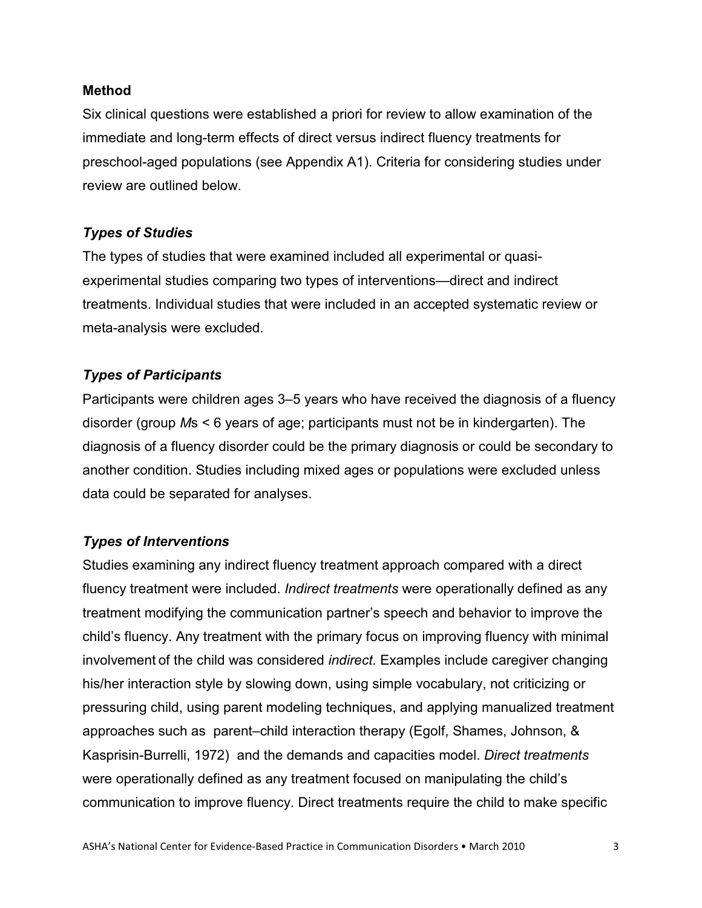#### **Method**

Six clinical questions were established a priori for review to allow examination of the immediate and long-term effects of direct versus indirect fluency treatments for preschool-aged populations (see Appendix A1). Criteria for considering studies under review are outlined below.

## *Types of Studies*

The types of studies that were examined included all experimental or quasiexperimental studies comparing two types of interventions—direct and indirect treatments. Individual studies that were included in an accepted systematic review or meta-analysis were excluded.

## *Types of Participants*

Participants were children ages 3–5 years who have received the diagnosis of a fluency disorder (group *M*s < 6 years of age; participants must not be in kindergarten). The diagnosis of a fluency disorder could be the primary diagnosis or could be secondary to another condition. Studies including mixed ages or populations were excluded unless data could be separated for analyses.

# *Types of Interventions*

Studies examining any indirect fluency treatment approach compared with a direct fluency treatment were included. *Indirect treatments* were operationally defined as any treatment modifying the communication partner's speech and behavior to improve the child's fluency. Any treatment with the primary focus on improving fluency with minimal involvement of the child was considered *indirect.* Examples include caregiver changing his/her interaction style by slowing down, using simple vocabulary, not criticizing or pressuring child, using parent modeling techniques, and applying manualized treatment approaches such as parent–child interaction therapy (Egolf, Shames, Johnson, & Kasprisin-Burrelli, 1972) and the demands and capacities model. *Direct treatments* were operationally defined as any treatment focused on manipulating the child's communication to improve fluency. Direct treatments require the child to make specific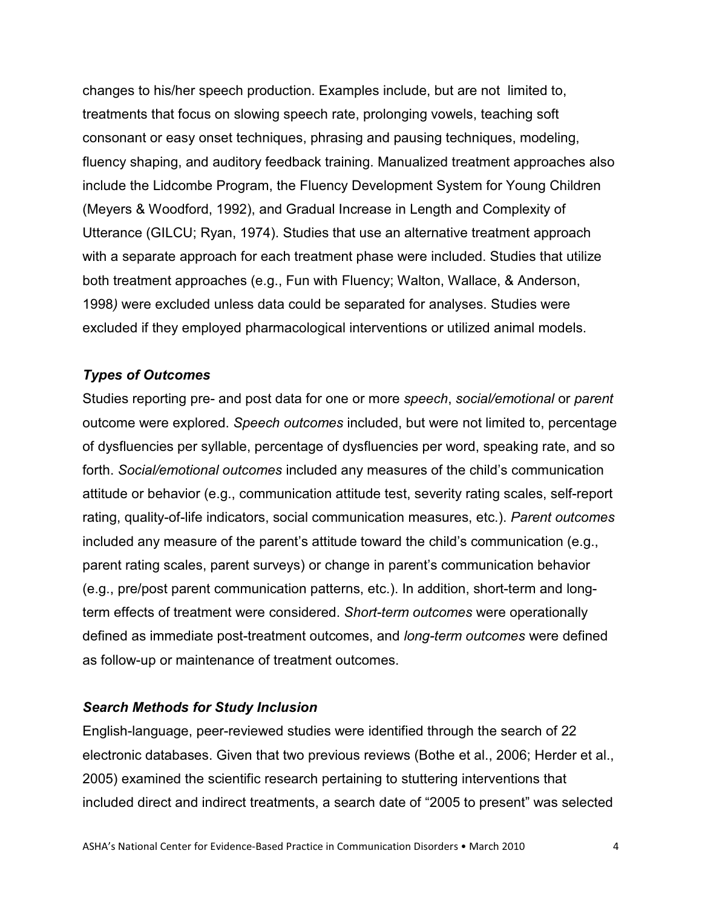changes to his/her speech production. Examples include, but are not limited to, treatments that focus on slowing speech rate, prolonging vowels, teaching soft consonant or easy onset techniques, phrasing and pausing techniques, modeling, fluency shaping, and auditory feedback training. Manualized treatment approaches also include the Lidcombe Program, the Fluency Development System for Young Children (Meyers & Woodford, 1992), and Gradual Increase in Length and Complexity of Utterance (GILCU; Ryan, 1974). Studies that use an alternative treatment approach with a separate approach for each treatment phase were included. Studies that utilize both treatment approaches (e.g., Fun with Fluency; Walton, Wallace, & Anderson, 1998*)* were excluded unless data could be separated for analyses. Studies were excluded if they employed pharmacological interventions or utilized animal models.

#### *Types of Outcomes*

Studies reporting pre- and post data for one or more *speech*, *social/emotional* or *parent* outcome were explored. *Speech outcomes* included, but were not limited to, percentage of dysfluencies per syllable, percentage of dysfluencies per word, speaking rate, and so forth. *Social/emotional outcomes* included any measures of the child's communication attitude or behavior (e.g., communication attitude test, severity rating scales, self-report rating, quality-of-life indicators, social communication measures, etc.). *Parent outcomes* included any measure of the parent's attitude toward the child's communication (e.g., parent rating scales, parent surveys) or change in parent's communication behavior (e.g., pre/post parent communication patterns, etc.). In addition, short-term and longterm effects of treatment were considered. *Short-term outcomes* were operationally defined as immediate post-treatment outcomes, and *long-term outcomes* were defined as follow-up or maintenance of treatment outcomes.

#### *Search Methods for Study Inclusion*

English-language, peer-reviewed studies were identified through the search of 22 electronic databases. Given that two previous reviews (Bothe et al., 2006; Herder et al., 2005) examined the scientific research pertaining to stuttering interventions that included direct and indirect treatments, a search date of "2005 to present" was selected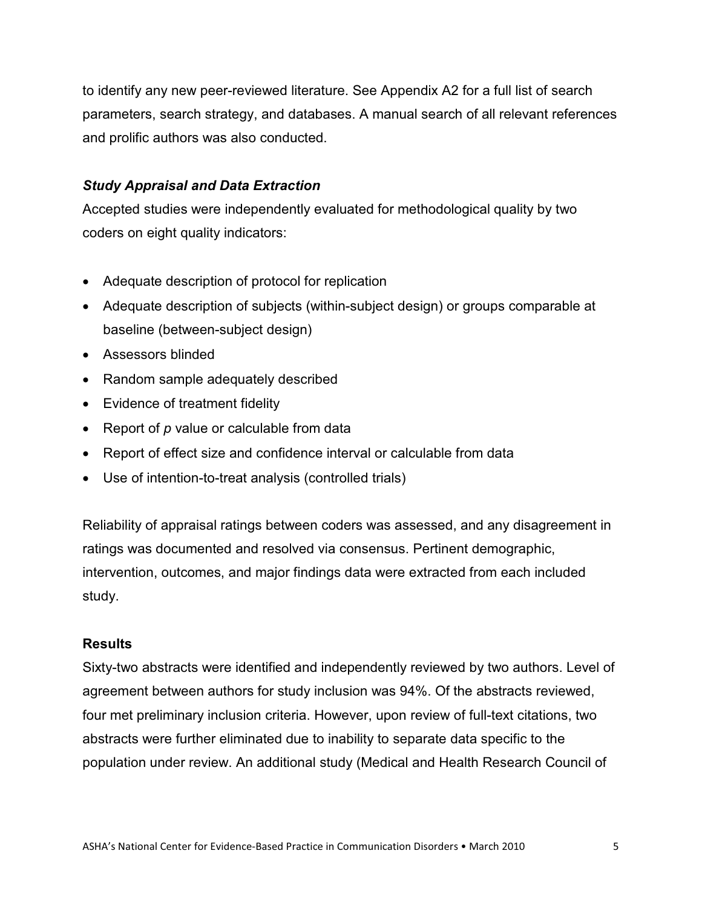to identify any new peer-reviewed literature. See Appendix A2 for a full list of search parameters, search strategy, and databases. A manual search of all relevant references and prolific authors was also conducted.

## *Study Appraisal and Data Extraction*

Accepted studies were independently evaluated for methodological quality by two coders on eight quality indicators:

- Adequate description of protocol for replication
- Adequate description of subjects (within-subject design) or groups comparable at baseline (between-subject design)
- Assessors blinded
- Random sample adequately described
- Evidence of treatment fidelity
- Report of *p* value or calculable from data
- Report of effect size and confidence interval or calculable from data
- Use of intention-to-treat analysis (controlled trials)

Reliability of appraisal ratings between coders was assessed, and any disagreement in ratings was documented and resolved via consensus. Pertinent demographic, intervention, outcomes, and major findings data were extracted from each included study.

# **Results**

Sixty-two abstracts were identified and independently reviewed by two authors. Level of agreement between authors for study inclusion was 94%. Of the abstracts reviewed, four met preliminary inclusion criteria. However, upon review of full-text citations, two abstracts were further eliminated due to inability to separate data specific to the population under review. An additional study (Medical and Health Research Council of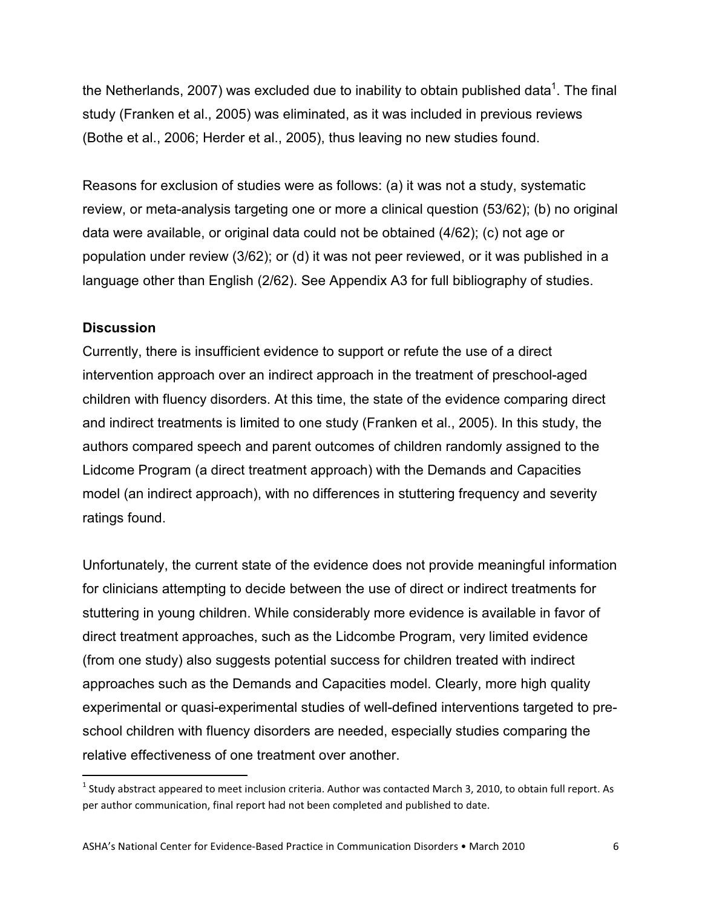the Netherlands, 2007) was excluded due to inability to obtain published data $^{\rm 1}$ . The final study (Franken et al., 2005) was eliminated, as it was included in previous reviews (Bothe et al., 2006; Herder et al., 2005), thus leaving no new studies found.

Reasons for exclusion of studies were as follows: (a) it was not a study, systematic review, or meta-analysis targeting one or more a clinical question (53/62); (b) no original data were available, or original data could not be obtained (4/62); (c) not age or population under review (3/62); or (d) it was not peer reviewed, or it was published in a language other than English (2/62). See Appendix A3 for full bibliography of studies.

### **Discussion**

Currently, there is insufficient evidence to support or refute the use of a direct intervention approach over an indirect approach in the treatment of preschool-aged children with fluency disorders. At this time, the state of the evidence comparing direct and indirect treatments is limited to one study (Franken et al., 2005). In this study, the authors compared speech and parent outcomes of children randomly assigned to the Lidcome Program (a direct treatment approach) with the Demands and Capacities model (an indirect approach), with no differences in stuttering frequency and severity ratings found.

Unfortunately, the current state of the evidence does not provide meaningful information for clinicians attempting to decide between the use of direct or indirect treatments for stuttering in young children. While considerably more evidence is available in favor of direct treatment approaches, such as the Lidcombe Program, very limited evidence (from one study) also suggests potential success for children treated with indirect approaches such as the Demands and Capacities model. Clearly, more high quality experimental or quasi-experimental studies of well-defined interventions targeted to preschool children with fluency disorders are needed, especially studies comparing the relative effectiveness of one treatment over another.

 $1$  Study abstract appeared to meet inclusion criteria. Author was contacted March 3, 2010, to obtain full report. As per author communication, final report had not been completed and published to date.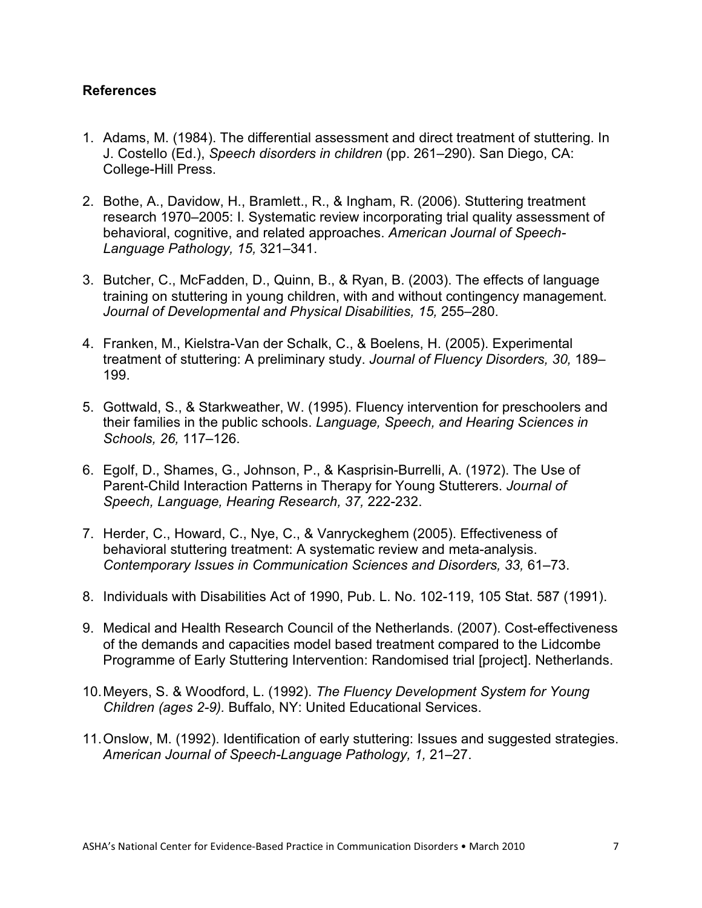#### **References**

- 1. Adams, M. (1984). The differential assessment and direct treatment of stuttering. In J. Costello (Ed.), *Speech disorders in children* (pp. 261–290). San Diego, CA: College-Hill Press.
- 2. Bothe, A., Davidow, H., Bramlett., R., & Ingham, R. (2006). Stuttering treatment research 1970–2005: I. Systematic review incorporating trial quality assessment of behavioral, cognitive, and related approaches. *American Journal of Speech-Language Pathology, 15,* 321–341.
- 3. Butcher, C., McFadden, D., Quinn, B., & Ryan, B. (2003). The effects of language training on stuttering in young children, with and without contingency management. *Journal of Developmental and Physical Disabilities, 15,* 255–280.
- 4. Franken, M., Kielstra-Van der Schalk, C., & Boelens, H. (2005). Experimental treatment of stuttering: A preliminary study. *Journal of Fluency Disorders, 30,* 189– 199.
- 5. Gottwald, S., & Starkweather, W. (1995). Fluency intervention for preschoolers and their families in the public schools. *Language, Speech, and Hearing Sciences in Schools, 26,* 117–126.
- 6. Egolf, D., Shames, G., Johnson, P., & Kasprisin-Burrelli, A. (1972). The Use of Parent-Child Interaction Patterns in Therapy for Young Stutterers. *Journal of Speech, Language, Hearing Research, 37,* 222-232.
- 7. Herder, C., Howard, C., Nye, C., & Vanryckeghem (2005). Effectiveness of behavioral stuttering treatment: A systematic review and meta-analysis. *Contemporary Issues in Communication Sciences and Disorders, 33,* 61–73.
- 8. Individuals with Disabilities Act of 1990, Pub. L. No. 102-119, 105 Stat. 587 (1991).
- 9. Medical and Health Research Council of the Netherlands. (2007). Cost-effectiveness of the demands and capacities model based treatment compared to the Lidcombe Programme of Early Stuttering Intervention: Randomised trial [project]. Netherlands.
- 10.Meyers, S. & Woodford, L. (1992). *The Fluency Development System for Young Children (ages 2-9).* Buffalo, NY: United Educational Services.
- 11.Onslow, M. (1992). Identification of early stuttering: Issues and suggested strategies. *American Journal of Speech-Language Pathology, 1,* 21–27.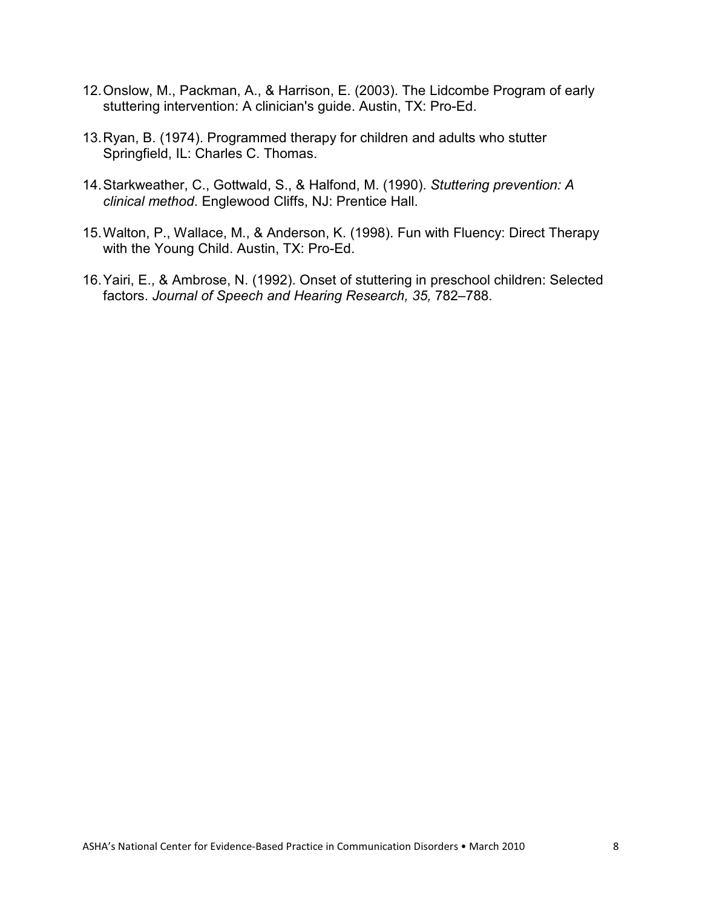- 12.Onslow, M., Packman, A., & Harrison, E. (2003). The Lidcombe Program of early stuttering intervention: A clinician's guide. Austin, TX: Pro-Ed.
- 13.Ryan, B. (1974). Programmed therapy for children and adults who stutter Springfield, IL: Charles C. Thomas.
- 14.Starkweather, C., Gottwald, S., & Halfond, M. (1990). *Stuttering prevention: A clinical method*. Englewood Cliffs, NJ: Prentice Hall.
- 15.Walton, P., Wallace, M., & Anderson, K. (1998). Fun with Fluency: Direct Therapy with the Young Child. Austin, TX: Pro-Ed.
- 16.Yairi, E., & Ambrose, N. (1992). Onset of stuttering in preschool children: Selected factors. *Journal of Speech and Hearing Research, 35,* 782–788.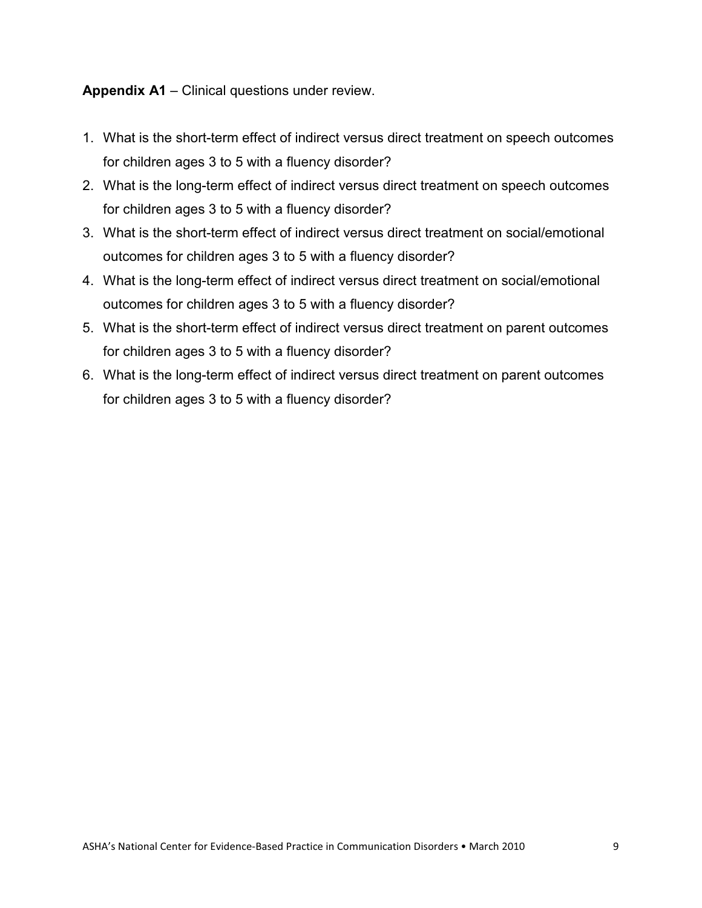**Appendix A1** – Clinical questions under review.

- 1. What is the short-term effect of indirect versus direct treatment on speech outcomes for children ages 3 to 5 with a fluency disorder?
- 2. What is the long-term effect of indirect versus direct treatment on speech outcomes for children ages 3 to 5 with a fluency disorder?
- 3. What is the short-term effect of indirect versus direct treatment on social/emotional outcomes for children ages 3 to 5 with a fluency disorder?
- 4. What is the long-term effect of indirect versus direct treatment on social/emotional outcomes for children ages 3 to 5 with a fluency disorder?
- 5. What is the short-term effect of indirect versus direct treatment on parent outcomes for children ages 3 to 5 with a fluency disorder?
- 6. What is the long-term effect of indirect versus direct treatment on parent outcomes for children ages 3 to 5 with a fluency disorder?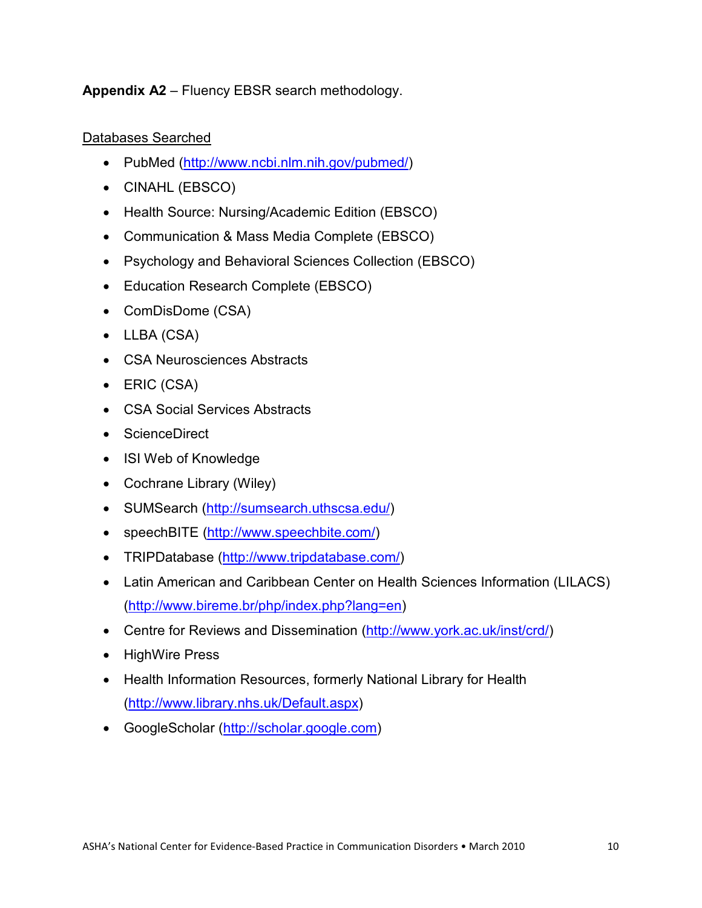**Appendix A2** – Fluency EBSR search methodology.

# Databases Searched

- PubMed (http://www.ncbi.nlm.nih.gov/pubmed/)
- CINAHL (EBSCO)
- Health Source: Nursing/Academic Edition (EBSCO)
- Communication & Mass Media Complete (EBSCO)
- Psychology and Behavioral Sciences Collection (EBSCO)
- Education Research Complete (EBSCO)
- ComDisDome (CSA)
- LLBA (CSA)
- CSA Neurosciences Abstracts
- ERIC (CSA)
- CSA Social Services Abstracts
- ScienceDirect
- ISI Web of Knowledge
- Cochrane Library (Wiley)
- SUMSearch (http://sumsearch.uthscsa.edu/)
- speechBITE (http://www.speechbite.com/)
- TRIPDatabase (http://www.tripdatabase.com/)
- Latin American and Caribbean Center on Health Sciences Information (LILACS) (http://www.bireme.br/php/index.php?lang=en)
- Centre for Reviews and Dissemination (http://www.york.ac.uk/inst/crd/)
- HighWire Press
- Health Information Resources, formerly National Library for Health (http://www.library.nhs.uk/Default.aspx)
- GoogleScholar (http://scholar.google.com)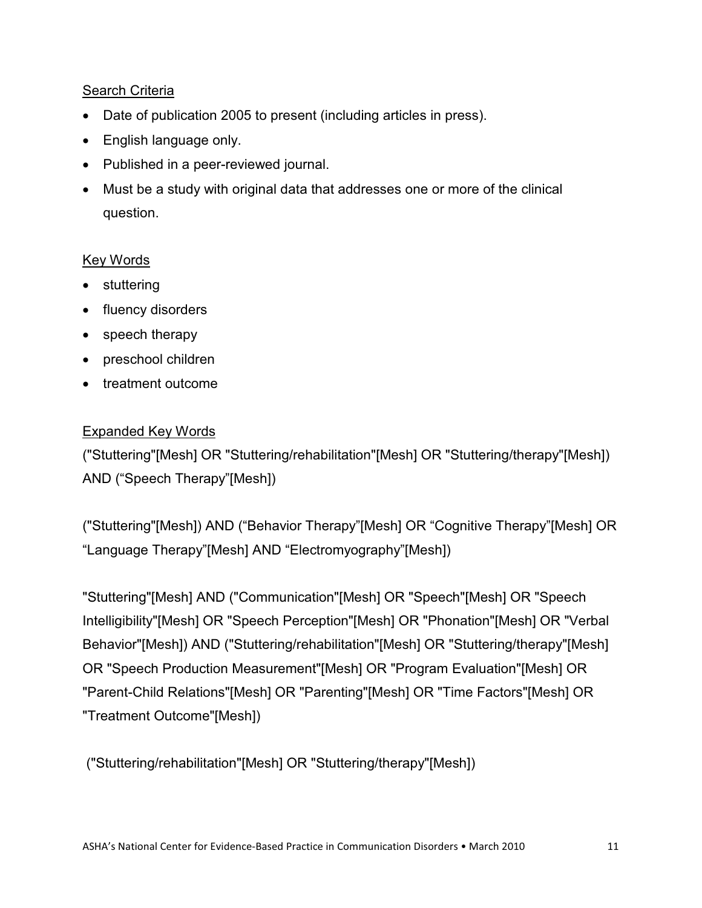## Search Criteria

- Date of publication 2005 to present (including articles in press).
- English language only.
- Published in a peer-reviewed journal.
- Must be a study with original data that addresses one or more of the clinical question.

# Key Words

- stuttering
- fluency disorders
- speech therapy
- preschool children
- treatment outcome

# Expanded Key Words

("Stuttering"[Mesh] OR "Stuttering/rehabilitation"[Mesh] OR "Stuttering/therapy"[Mesh]) AND ("Speech Therapy"[Mesh])

("Stuttering"[Mesh]) AND ("Behavior Therapy"[Mesh] OR "Cognitive Therapy"[Mesh] OR "Language Therapy"[Mesh] AND "Electromyography"[Mesh])

"Stuttering"[Mesh] AND ("Communication"[Mesh] OR "Speech"[Mesh] OR "Speech Intelligibility"[Mesh] OR "Speech Perception"[Mesh] OR "Phonation"[Mesh] OR "Verbal Behavior"[Mesh]) AND ("Stuttering/rehabilitation"[Mesh] OR "Stuttering/therapy"[Mesh] OR "Speech Production Measurement"[Mesh] OR "Program Evaluation"[Mesh] OR "Parent-Child Relations"[Mesh] OR "Parenting"[Mesh] OR "Time Factors"[Mesh] OR "Treatment Outcome"[Mesh])

("Stuttering/rehabilitation"[Mesh] OR "Stuttering/therapy"[Mesh])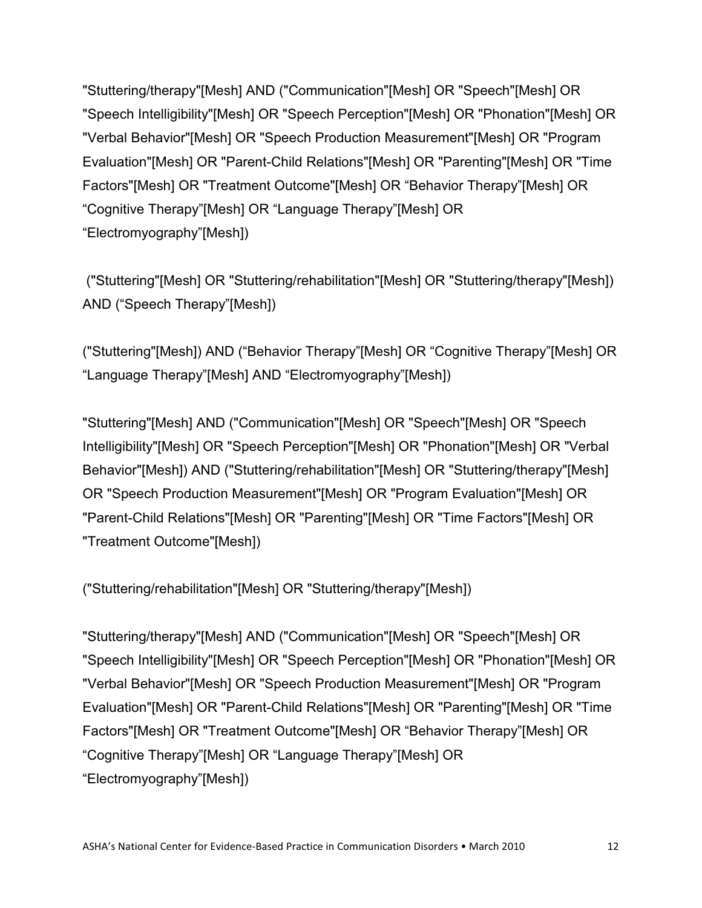"Stuttering/therapy"[Mesh] AND ("Communication"[Mesh] OR "Speech"[Mesh] OR "Speech Intelligibility"[Mesh] OR "Speech Perception"[Mesh] OR "Phonation"[Mesh] OR "Verbal Behavior"[Mesh] OR "Speech Production Measurement"[Mesh] OR "Program Evaluation"[Mesh] OR "Parent-Child Relations"[Mesh] OR "Parenting"[Mesh] OR "Time Factors"[Mesh] OR "Treatment Outcome"[Mesh] OR "Behavior Therapy"[Mesh] OR "Cognitive Therapy"[Mesh] OR "Language Therapy"[Mesh] OR "Electromyography"[Mesh])

("Stuttering"[Mesh] OR "Stuttering/rehabilitation"[Mesh] OR "Stuttering/therapy"[Mesh]) AND ("Speech Therapy"[Mesh])

("Stuttering"[Mesh]) AND ("Behavior Therapy"[Mesh] OR "Cognitive Therapy"[Mesh] OR "Language Therapy"[Mesh] AND "Electromyography"[Mesh])

"Stuttering"[Mesh] AND ("Communication"[Mesh] OR "Speech"[Mesh] OR "Speech Intelligibility"[Mesh] OR "Speech Perception"[Mesh] OR "Phonation"[Mesh] OR "Verbal Behavior"[Mesh]) AND ("Stuttering/rehabilitation"[Mesh] OR "Stuttering/therapy"[Mesh] OR "Speech Production Measurement"[Mesh] OR "Program Evaluation"[Mesh] OR "Parent-Child Relations"[Mesh] OR "Parenting"[Mesh] OR "Time Factors"[Mesh] OR "Treatment Outcome"[Mesh])

("Stuttering/rehabilitation"[Mesh] OR "Stuttering/therapy"[Mesh])

"Stuttering/therapy"[Mesh] AND ("Communication"[Mesh] OR "Speech"[Mesh] OR "Speech Intelligibility"[Mesh] OR "Speech Perception"[Mesh] OR "Phonation"[Mesh] OR "Verbal Behavior"[Mesh] OR "Speech Production Measurement"[Mesh] OR "Program Evaluation"[Mesh] OR "Parent-Child Relations"[Mesh] OR "Parenting"[Mesh] OR "Time Factors"[Mesh] OR "Treatment Outcome"[Mesh] OR "Behavior Therapy"[Mesh] OR "Cognitive Therapy"[Mesh] OR "Language Therapy"[Mesh] OR "Electromyography"[Mesh])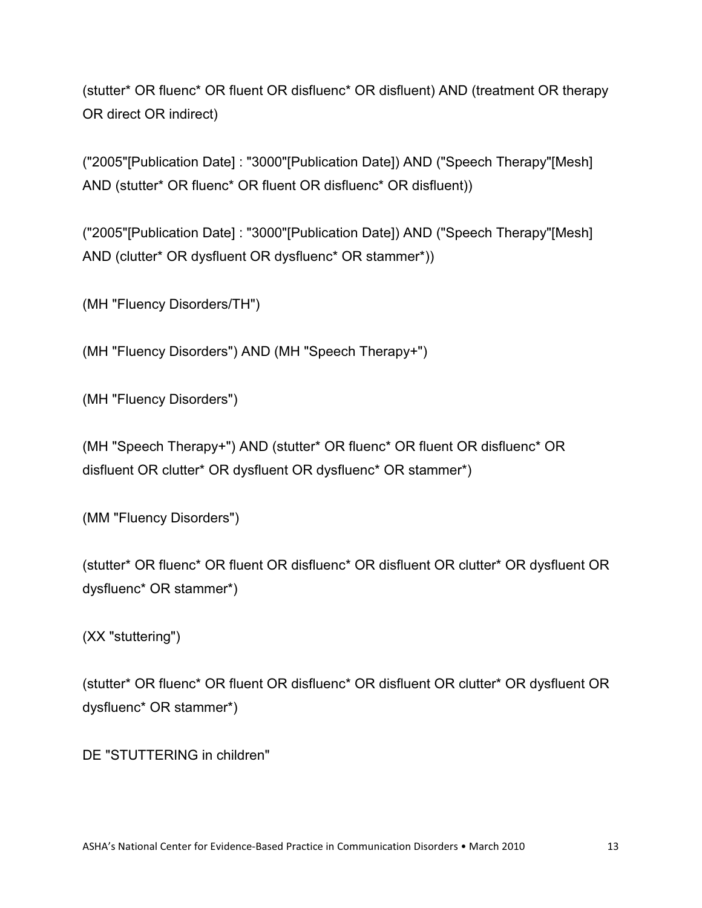(stutter\* OR fluenc\* OR fluent OR disfluenc\* OR disfluent) AND (treatment OR therapy OR direct OR indirect)

("2005"[Publication Date] : "3000"[Publication Date]) AND ("Speech Therapy"[Mesh] AND (stutter\* OR fluenc\* OR fluent OR disfluenc\* OR disfluent))

("2005"[Publication Date] : "3000"[Publication Date]) AND ("Speech Therapy"[Mesh] AND (clutter\* OR dysfluent OR dysfluenc\* OR stammer\*))

(MH "Fluency Disorders/TH")

(MH "Fluency Disorders") AND (MH "Speech Therapy+")

(MH "Fluency Disorders")

(MH "Speech Therapy+") AND (stutter\* OR fluenc\* OR fluent OR disfluenc\* OR disfluent OR clutter\* OR dysfluent OR dysfluenc\* OR stammer\*)

(MM "Fluency Disorders")

(stutter\* OR fluenc\* OR fluent OR disfluenc\* OR disfluent OR clutter\* OR dysfluent OR dysfluenc\* OR stammer\*)

(XX "stuttering")

(stutter\* OR fluenc\* OR fluent OR disfluenc\* OR disfluent OR clutter\* OR dysfluent OR dysfluenc\* OR stammer\*)

DE "STUTTERING in children"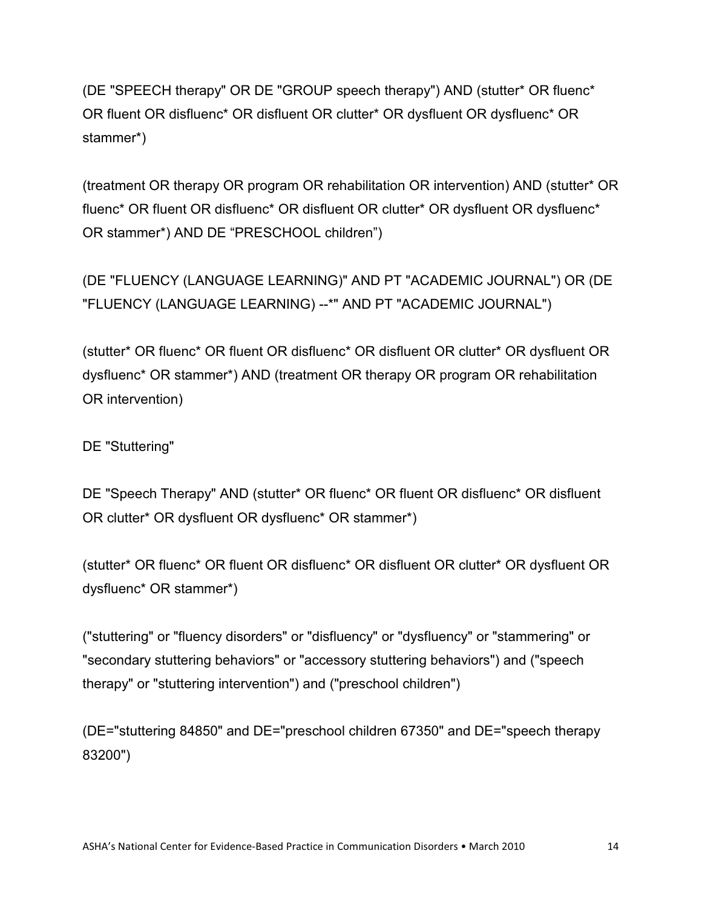(DE "SPEECH therapy" OR DE "GROUP speech therapy") AND (stutter\* OR fluenc\* OR fluent OR disfluenc\* OR disfluent OR clutter\* OR dysfluent OR dysfluenc\* OR stammer\*)

(treatment OR therapy OR program OR rehabilitation OR intervention) AND (stutter\* OR fluenc\* OR fluent OR disfluenc\* OR disfluent OR clutter\* OR dysfluent OR dysfluenc\* OR stammer\*) AND DE "PRESCHOOL children")

(DE "FLUENCY (LANGUAGE LEARNING)" AND PT "ACADEMIC JOURNAL") OR (DE "FLUENCY (LANGUAGE LEARNING) --\*" AND PT "ACADEMIC JOURNAL")

(stutter\* OR fluenc\* OR fluent OR disfluenc\* OR disfluent OR clutter\* OR dysfluent OR dysfluenc\* OR stammer\*) AND (treatment OR therapy OR program OR rehabilitation OR intervention)

DE "Stuttering"

DE "Speech Therapy" AND (stutter\* OR fluenc\* OR fluent OR disfluenc\* OR disfluent OR clutter\* OR dysfluent OR dysfluenc\* OR stammer\*)

(stutter\* OR fluenc\* OR fluent OR disfluenc\* OR disfluent OR clutter\* OR dysfluent OR dysfluenc\* OR stammer\*)

("stuttering" or "fluency disorders" or "disfluency" or "dysfluency" or "stammering" or "secondary stuttering behaviors" or "accessory stuttering behaviors") and ("speech therapy" or "stuttering intervention") and ("preschool children")

(DE="stuttering 84850" and DE="preschool children 67350" and DE="speech therapy 83200")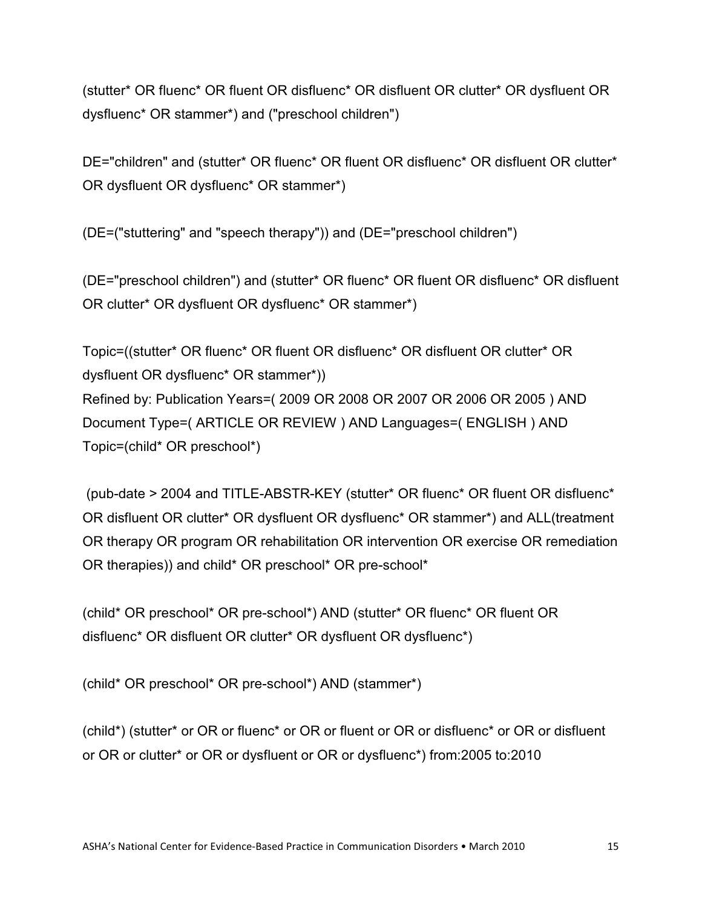(stutter\* OR fluenc\* OR fluent OR disfluenc\* OR disfluent OR clutter\* OR dysfluent OR dysfluenc\* OR stammer\*) and ("preschool children")

DE="children" and (stutter\* OR fluenc\* OR fluent OR disfluenc\* OR disfluent OR clutter\* OR dysfluent OR dysfluenc\* OR stammer\*)

(DE=("stuttering" and "speech therapy")) and (DE="preschool children")

(DE="preschool children") and (stutter\* OR fluenc\* OR fluent OR disfluenc\* OR disfluent OR clutter\* OR dysfluent OR dysfluenc\* OR stammer\*)

Topic=((stutter\* OR fluenc\* OR fluent OR disfluenc\* OR disfluent OR clutter\* OR dysfluent OR dysfluenc\* OR stammer\*)) Refined by: Publication Years=( 2009 OR 2008 OR 2007 OR 2006 OR 2005 ) AND Document Type=( ARTICLE OR REVIEW ) AND Languages=( ENGLISH ) AND Topic=(child\* OR preschool\*)

(pub-date > 2004 and TITLE-ABSTR-KEY (stutter\* OR fluenc\* OR fluent OR disfluenc\* OR disfluent OR clutter\* OR dysfluent OR dysfluenc\* OR stammer\*) and ALL(treatment OR therapy OR program OR rehabilitation OR intervention OR exercise OR remediation OR therapies)) and child\* OR preschool\* OR pre-school\*

(child\* OR preschool\* OR pre-school\*) AND (stutter\* OR fluenc\* OR fluent OR disfluenc\* OR disfluent OR clutter\* OR dysfluent OR dysfluenc\*)

(child\* OR preschool\* OR pre-school\*) AND (stammer\*)

(child\*) (stutter\* or OR or fluenc\* or OR or fluent or OR or disfluenc\* or OR or disfluent or OR or clutter\* or OR or dysfluent or OR or dysfluenc\*) from:2005 to:2010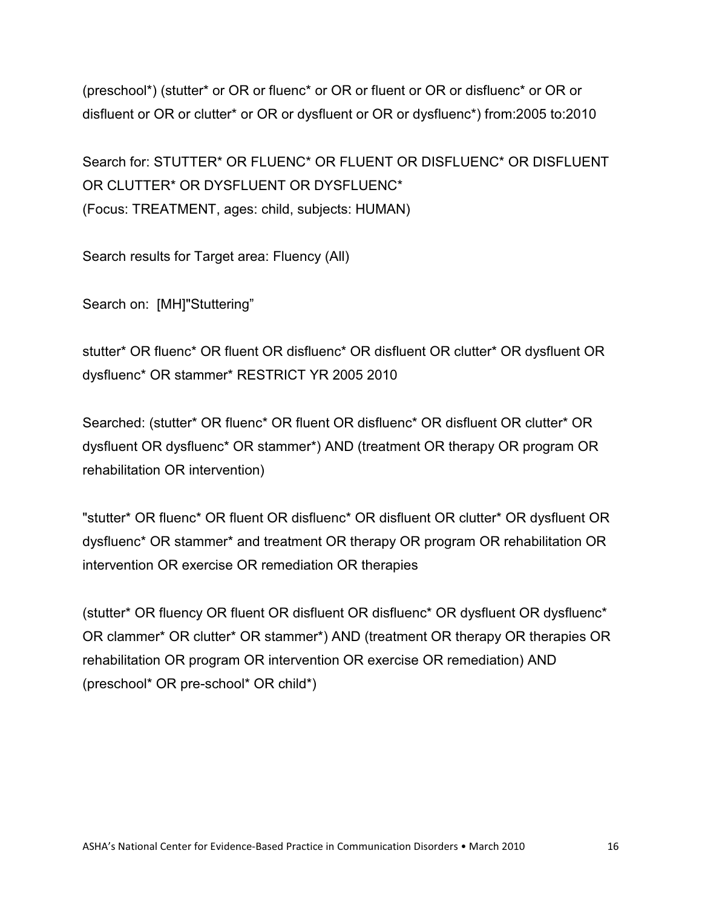(preschool\*) (stutter\* or OR or fluenc\* or OR or fluent or OR or disfluenc\* or OR or disfluent or OR or clutter\* or OR or dysfluent or OR or dysfluenc\*) from:2005 to:2010

Search for: STUTTER\* OR FLUENC\* OR FLUENT OR DISFLUENC\* OR DISFLUENT OR CLUTTER\* OR DYSELUENT OR DYSELUENC\* (Focus: TREATMENT, ages: child, subjects: HUMAN)

Search results for Target area: Fluency (All)

Search on: [MH]"Stuttering"

stutter\* OR fluenc\* OR fluent OR disfluenc\* OR disfluent OR clutter\* OR dysfluent OR dysfluenc\* OR stammer\* RESTRICT YR 2005 2010

Searched: (stutter\* OR fluenc\* OR fluent OR disfluenc\* OR disfluent OR clutter\* OR dysfluent OR dysfluenc\* OR stammer\*) AND (treatment OR therapy OR program OR rehabilitation OR intervention)

"stutter\* OR fluenc\* OR fluent OR disfluenc\* OR disfluent OR clutter\* OR dysfluent OR dysfluenc\* OR stammer\* and treatment OR therapy OR program OR rehabilitation OR intervention OR exercise OR remediation OR therapies

(stutter\* OR fluency OR fluent OR disfluent OR disfluenc\* OR dysfluent OR dysfluenc\* OR clammer\* OR clutter\* OR stammer\*) AND (treatment OR therapy OR therapies OR rehabilitation OR program OR intervention OR exercise OR remediation) AND (preschool\* OR pre-school\* OR child\*)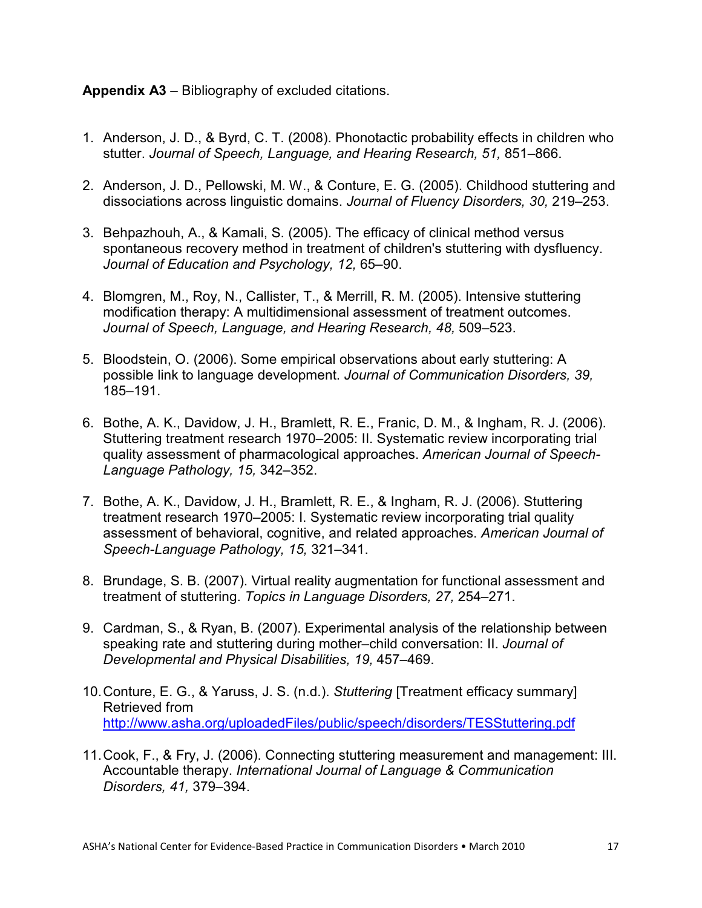## **Appendix A3** – Bibliography of excluded citations.

- 1. Anderson, J. D., & Byrd, C. T. (2008). Phonotactic probability effects in children who stutter. *Journal of Speech, Language, and Hearing Research, 51,* 851–866.
- 2. Anderson, J. D., Pellowski, M. W., & Conture, E. G. (2005). Childhood stuttering and dissociations across linguistic domains. *Journal of Fluency Disorders, 30,* 219–253.
- 3. Behpazhouh, A., & Kamali, S. (2005). The efficacy of clinical method versus spontaneous recovery method in treatment of children's stuttering with dysfluency. *Journal of Education and Psychology, 12,* 65–90.
- 4. Blomgren, M., Roy, N., Callister, T., & Merrill, R. M. (2005). Intensive stuttering modification therapy: A multidimensional assessment of treatment outcomes. *Journal of Speech, Language, and Hearing Research, 48,* 509–523.
- 5. Bloodstein, O. (2006). Some empirical observations about early stuttering: A possible link to language development. *Journal of Communication Disorders, 39,* 185–191.
- 6. Bothe, A. K., Davidow, J. H., Bramlett, R. E., Franic, D. M., & Ingham, R. J. (2006). Stuttering treatment research 1970–2005: II. Systematic review incorporating trial quality assessment of pharmacological approaches. *American Journal of Speech-Language Pathology, 15,* 342–352.
- 7. Bothe, A. K., Davidow, J. H., Bramlett, R. E., & Ingham, R. J. (2006). Stuttering treatment research 1970–2005: I. Systematic review incorporating trial quality assessment of behavioral, cognitive, and related approaches. *American Journal of Speech-Language Pathology, 15,* 321–341.
- 8. Brundage, S. B. (2007). Virtual reality augmentation for functional assessment and treatment of stuttering. *Topics in Language Disorders, 27,* 254–271.
- 9. Cardman, S., & Ryan, B. (2007). Experimental analysis of the relationship between speaking rate and stuttering during mother–child conversation: II. *Journal of Developmental and Physical Disabilities, 19,* 457–469.
- 10.Conture, E. G., & Yaruss, J. S. (n.d.). *Stuttering* [Treatment efficacy summary] Retrieved from http://www.asha.org/uploadedFiles/public/speech/disorders/TESStuttering.pdf
- 11.Cook, F., & Fry, J. (2006). Connecting stuttering measurement and management: III. Accountable therapy. *International Journal of Language & Communication Disorders, 41,* 379–394.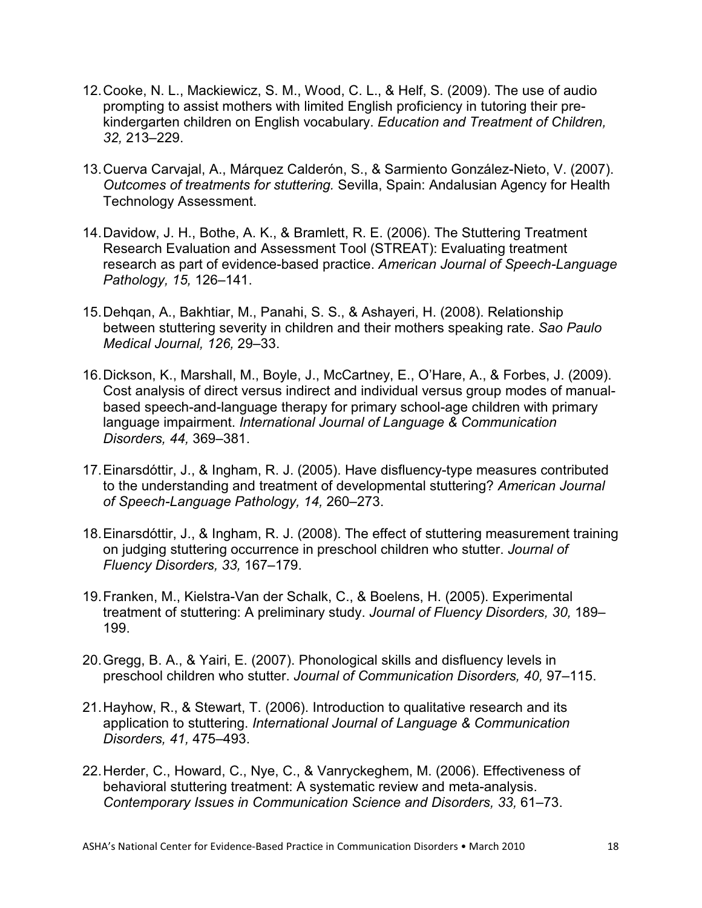- 12.Cooke, N. L., Mackiewicz, S. M., Wood, C. L., & Helf, S. (2009). The use of audio prompting to assist mothers with limited English proficiency in tutoring their prekindergarten children on English vocabulary. *Education and Treatment of Children, 32,* 213–229.
- 13.Cuerva Carvajal, A., Márquez Calderón, S., & Sarmiento González-Nieto, V. (2007). *Outcomes of treatments for stuttering.* Sevilla, Spain: Andalusian Agency for Health Technology Assessment.
- 14.Davidow, J. H., Bothe, A. K., & Bramlett, R. E. (2006). The Stuttering Treatment Research Evaluation and Assessment Tool (STREAT): Evaluating treatment research as part of evidence-based practice. *American Journal of Speech-Language Pathology, 15,* 126–141.
- 15.Dehqan, A., Bakhtiar, M., Panahi, S. S., & Ashayeri, H. (2008). Relationship between stuttering severity in children and their mothers speaking rate. *Sao Paulo Medical Journal, 126,* 29–33.
- 16.Dickson, K., Marshall, M., Boyle, J., McCartney, E., O'Hare, A., & Forbes, J. (2009). Cost analysis of direct versus indirect and individual versus group modes of manualbased speech-and-language therapy for primary school-age children with primary language impairment. *International Journal of Language & Communication Disorders, 44,* 369–381.
- 17.Einarsdóttir, J., & Ingham, R. J. (2005). Have disfluency-type measures contributed to the understanding and treatment of developmental stuttering? *American Journal of Speech-Language Pathology, 14,* 260–273.
- 18.Einarsdóttir, J., & Ingham, R. J. (2008). The effect of stuttering measurement training on judging stuttering occurrence in preschool children who stutter. *Journal of Fluency Disorders, 33,* 167–179.
- 19.Franken, M., Kielstra-Van der Schalk, C., & Boelens, H. (2005). Experimental treatment of stuttering: A preliminary study. *Journal of Fluency Disorders, 30,* 189– 199.
- 20.Gregg, B. A., & Yairi, E. (2007). Phonological skills and disfluency levels in preschool children who stutter. *Journal of Communication Disorders, 40,* 97–115.
- 21.Hayhow, R., & Stewart, T. (2006). Introduction to qualitative research and its application to stuttering. *International Journal of Language & Communication Disorders, 41,* 475–493.
- 22.Herder, C., Howard, C., Nye, C., & Vanryckeghem, M. (2006). Effectiveness of behavioral stuttering treatment: A systematic review and meta-analysis. *Contemporary Issues in Communication Science and Disorders, 33,* 61–73.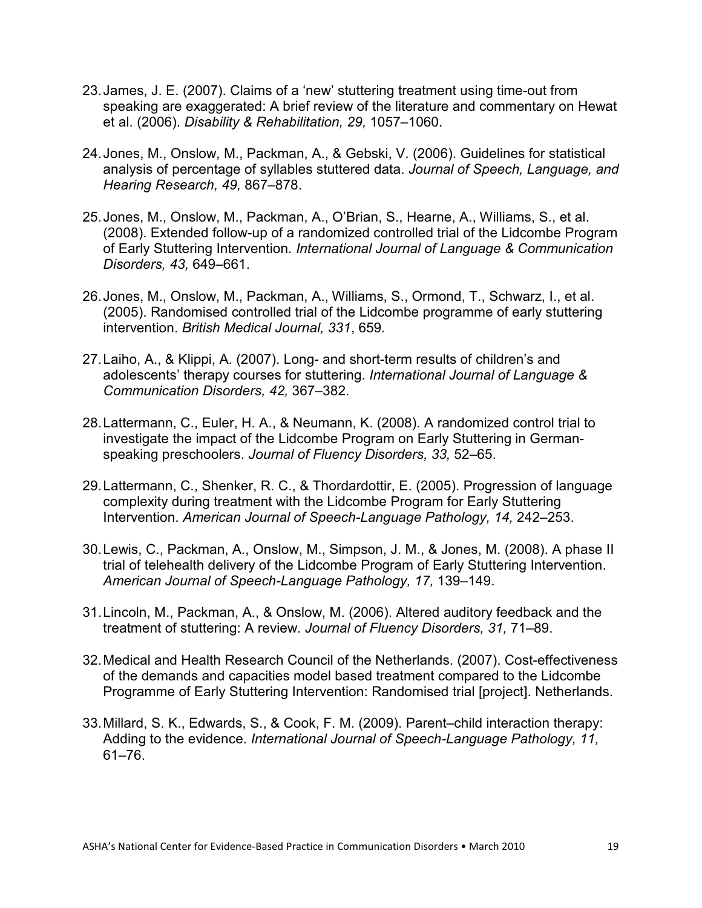- 23. James, J. E. (2007). Claims of a 'new' stuttering treatment using time-out from speaking are exaggerated: A brief review of the literature and commentary on Hewat et al. (2006). *Disability & Rehabilitation, 29,* 1057–1060.
- 24. Jones, M., Onslow, M., Packman, A., & Gebski, V. (2006). Guidelines for statistical analysis of percentage of syllables stuttered data. *Journal of Speech, Language, and Hearing Research, 49,* 867–878.
- 25. Jones, M., Onslow, M., Packman, A., O'Brian, S., Hearne, A., Williams, S., et al. (2008). Extended follow-up of a randomized controlled trial of the Lidcombe Program of Early Stuttering Intervention*. International Journal of Language & Communication Disorders, 43,* 649–661.
- 26. Jones, M., Onslow, M., Packman, A., Williams, S., Ormond, T., Schwarz, I., et al. (2005). Randomised controlled trial of the Lidcombe programme of early stuttering intervention. *British Medical Journal, 331*, 659.
- 27.Laiho, A., & Klippi, A. (2007). Long- and short-term results of children's and adolescents' therapy courses for stuttering. *International Journal of Language & Communication Disorders, 42,* 367–382.
- 28.Lattermann, C., Euler, H. A., & Neumann, K. (2008). A randomized control trial to investigate the impact of the Lidcombe Program on Early Stuttering in Germanspeaking preschoolers. *Journal of Fluency Disorders, 33,* 52–65.
- 29.Lattermann, C., Shenker, R. C., & Thordardottir, E. (2005). Progression of language complexity during treatment with the Lidcombe Program for Early Stuttering Intervention. *American Journal of Speech-Language Pathology, 14,* 242–253.
- 30.Lewis, C., Packman, A., Onslow, M., Simpson, J. M., & Jones, M. (2008). A phase II trial of telehealth delivery of the Lidcombe Program of Early Stuttering Intervention. *American Journal of Speech-Language Pathology, 17,* 139–149.
- 31.Lincoln, M., Packman, A., & Onslow, M. (2006). Altered auditory feedback and the treatment of stuttering: A review. *Journal of Fluency Disorders, 31,* 71–89.
- 32.Medical and Health Research Council of the Netherlands. (2007). Cost-effectiveness of the demands and capacities model based treatment compared to the Lidcombe Programme of Early Stuttering Intervention: Randomised trial [project]. Netherlands.
- 33.Millard, S. K., Edwards, S., & Cook, F. M. (2009). Parent–child interaction therapy: Adding to the evidence. *International Journal of Speech-Language Pathology, 11,* 61–76.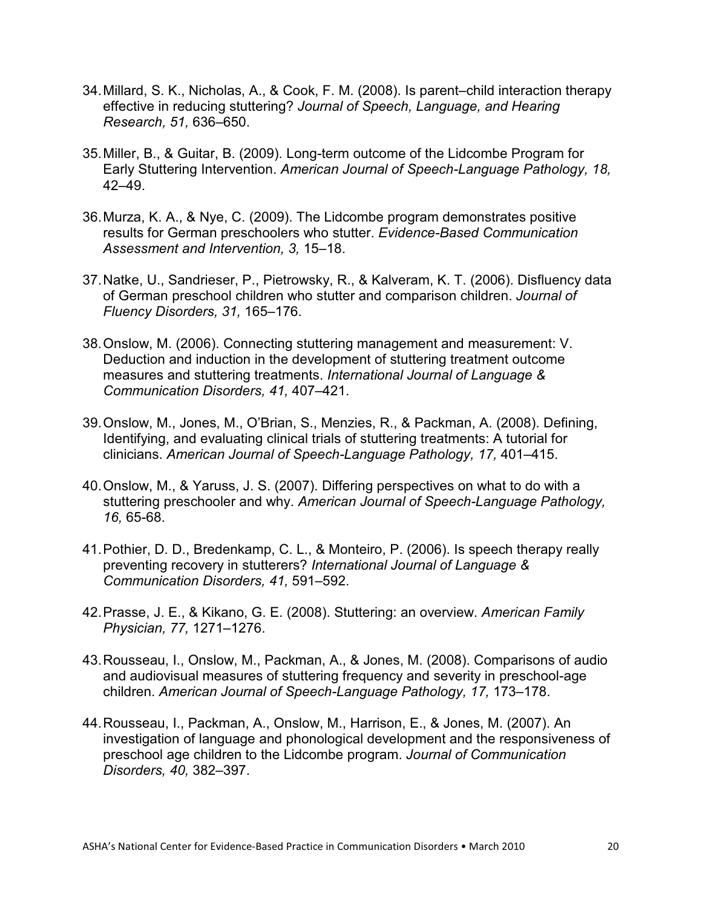- 34.Millard, S. K., Nicholas, A., & Cook, F. M. (2008). Is parent–child interaction therapy effective in reducing stuttering? *Journal of Speech, Language, and Hearing Research, 51,* 636–650.
- 35.Miller, B., & Guitar, B. (2009). Long-term outcome of the Lidcombe Program for Early Stuttering Intervention. *American Journal of Speech-Language Pathology, 18,* 42–49.
- 36.Murza, K. A., & Nye, C. (2009). The Lidcombe program demonstrates positive results for German preschoolers who stutter. *Evidence-Based Communication Assessment and Intervention, 3,* 15–18.
- 37.Natke, U., Sandrieser, P., Pietrowsky, R., & Kalveram, K. T. (2006). Disfluency data of German preschool children who stutter and comparison children. *Journal of Fluency Disorders, 31,* 165–176.
- 38.Onslow, M. (2006). Connecting stuttering management and measurement: V. Deduction and induction in the development of stuttering treatment outcome measures and stuttering treatments. *International Journal of Language & Communication Disorders, 41,* 407–421.
- 39.Onslow, M., Jones, M., O'Brian, S., Menzies, R., & Packman, A. (2008). Defining, Identifying, and evaluating clinical trials of stuttering treatments: A tutorial for clinicians. *American Journal of Speech-Language Pathology, 17,* 401–415.
- 40.Onslow, M., & Yaruss, J. S. (2007). Differing perspectives on what to do with a stuttering preschooler and why. *American Journal of Speech-Language Pathology, 16,* 65-68.
- 41.Pothier, D. D., Bredenkamp, C. L., & Monteiro, P. (2006). Is speech therapy really preventing recovery in stutterers? *International Journal of Language & Communication Disorders, 41,* 591–592.
- 42.Prasse, J. E., & Kikano, G. E. (2008). Stuttering: an overview. *American Family Physician, 77,* 1271–1276.
- 43.Rousseau, I., Onslow, M., Packman, A., & Jones, M. (2008). Comparisons of audio and audiovisual measures of stuttering frequency and severity in preschool-age children. *American Journal of Speech-Language Pathology, 17,* 173–178.
- 44.Rousseau, I., Packman, A., Onslow, M., Harrison, E., & Jones, M. (2007). An investigation of language and phonological development and the responsiveness of preschool age children to the Lidcombe program. *Journal of Communication Disorders, 40,* 382–397.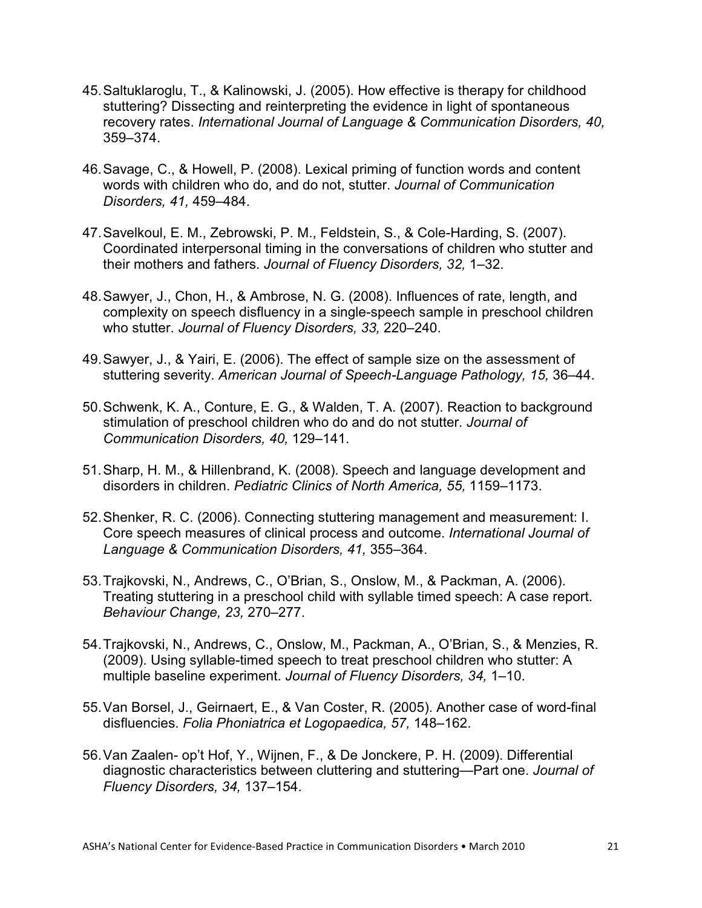- 45.Saltuklaroglu, T., & Kalinowski, J. (2005). How effective is therapy for childhood stuttering? Dissecting and reinterpreting the evidence in light of spontaneous recovery rates. *International Journal of Language & Communication Disorders, 40,* 359–374.
- 46.Savage, C., & Howell, P. (2008). Lexical priming of function words and content words with children who do, and do not, stutter. *Journal of Communication Disorders, 41,* 459–484.
- 47.Savelkoul, E. M., Zebrowski, P. M., Feldstein, S., & Cole-Harding, S. (2007). Coordinated interpersonal timing in the conversations of children who stutter and their mothers and fathers. *Journal of Fluency Disorders, 32,* 1–32.
- 48.Sawyer, J., Chon, H., & Ambrose, N. G. (2008). Influences of rate, length, and complexity on speech disfluency in a single-speech sample in preschool children who stutter. *Journal of Fluency Disorders, 33,* 220–240.
- 49.Sawyer, J., & Yairi, E. (2006). The effect of sample size on the assessment of stuttering severity. *American Journal of Speech-Language Pathology, 15,* 36–44.
- 50.Schwenk, K. A., Conture, E. G., & Walden, T. A. (2007). Reaction to background stimulation of preschool children who do and do not stutter. *Journal of Communication Disorders, 40,* 129–141.
- 51.Sharp, H. M., & Hillenbrand, K. (2008). Speech and language development and disorders in children. *Pediatric Clinics of North America, 55,* 1159–1173.
- 52.Shenker, R. C. (2006). Connecting stuttering management and measurement: I. Core speech measures of clinical process and outcome. *International Journal of Language & Communication Disorders, 41,* 355–364.
- 53.Trajkovski, N., Andrews, C., O'Brian, S., Onslow, M., & Packman, A. (2006). Treating stuttering in a preschool child with syllable timed speech: A case report. *Behaviour Change, 23,* 270–277.
- 54.Trajkovski, N., Andrews, C., Onslow, M., Packman, A., O'Brian, S., & Menzies, R. (2009). Using syllable-timed speech to treat preschool children who stutter: A multiple baseline experiment. *Journal of Fluency Disorders, 34,* 1–10.
- 55.Van Borsel, J., Geirnaert, E., & Van Coster, R. (2005). Another case of word-final disfluencies. *Folia Phoniatrica et Logopaedica, 57,* 148–162.
- 56.Van Zaalen- op't Hof, Y., Wijnen, F., & De Jonckere, P. H. (2009). Differential diagnostic characteristics between cluttering and stuttering—Part one. *Journal of Fluency Disorders, 34,* 137–154.